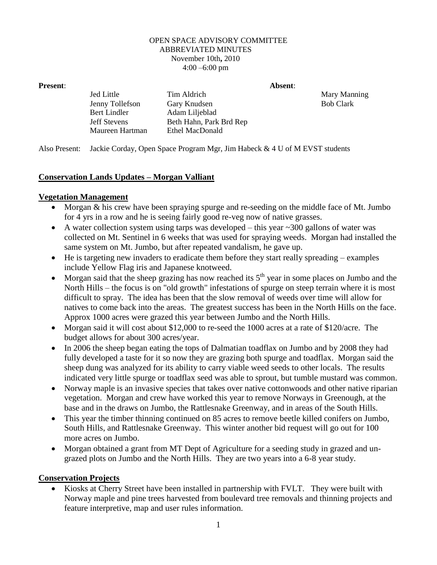## OPEN SPACE ADVISORY COMMITTEE ABBREVIATED MINUTES November 10th**,** 2010 4:00 –6:00 pm

**Present**: **Absent**:

Jed Little Tim Aldrich Mary Manning Jenny Tollefson Gary Knudsen Bob Clark Bert Lindler Adam Liljeblad Jeff Stevens Beth Hahn, Park Brd Rep Maureen Hartman Ethel MacDonald

Also Present: Jackie Corday, Open Space Program Mgr, Jim Habeck & 4 U of M EVST students

## **Conservation Lands Updates – Morgan Valliant**

## **Vegetation Management**

- Morgan & his crew have been spraying spurge and re-seeding on the middle face of Mt. Jumbo for 4 yrs in a row and he is seeing fairly good re-veg now of native grasses.
- A water collection system using tarps was developed this year  $\sim$  300 gallons of water was collected on Mt. Sentinel in 6 weeks that was used for spraying weeds. Morgan had installed the same system on Mt. Jumbo, but after repeated vandalism, he gave up.
- He is targeting new invaders to eradicate them before they start really spreading examples include Yellow Flag iris and Japanese knotweed.
- Morgan said that the sheep grazing has now reached its  $5<sup>th</sup>$  year in some places on Jumbo and the North Hills – the focus is on "old growth" infestations of spurge on steep terrain where it is most difficult to spray. The idea has been that the slow removal of weeds over time will allow for natives to come back into the areas. The greatest success has been in the North Hills on the face. Approx 1000 acres were grazed this year between Jumbo and the North Hills.
- Morgan said it will cost about \$12,000 to re-seed the 1000 acres at a rate of \$120/acre. The budget allows for about 300 acres/year.
- In 2006 the sheep began eating the tops of Dalmatian toadflax on Jumbo and by 2008 they had fully developed a taste for it so now they are grazing both spurge and toadflax. Morgan said the sheep dung was analyzed for its ability to carry viable weed seeds to other locals. The results indicated very little spurge or toadflax seed was able to sprout, but tumble mustard was common.
- Norway maple is an invasive species that takes over native cottonwoods and other native riparian vegetation. Morgan and crew have worked this year to remove Norways in Greenough, at the base and in the draws on Jumbo, the Rattlesnake Greenway, and in areas of the South Hills.
- This year the timber thinning continued on 85 acres to remove beetle killed conifers on Jumbo, South Hills, and Rattlesnake Greenway. This winter another bid request will go out for 100 more acres on Jumbo.
- Morgan obtained a grant from MT Dept of Agriculture for a seeding study in grazed and ungrazed plots on Jumbo and the North Hills. They are two years into a 6-8 year study.

## **Conservation Projects**

 Kiosks at Cherry Street have been installed in partnership with FVLT. They were built with Norway maple and pine trees harvested from boulevard tree removals and thinning projects and feature interpretive, map and user rules information.